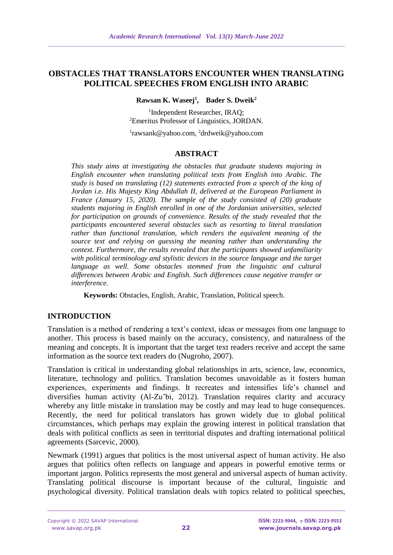#### **OBSTACLES THAT TRANSLATORS ENCOUNTER WHEN TRANSLATING POLITICAL SPEECHES FROM ENGLISH INTO ARABIC**

**Rawsan K. Waseej<sup>1</sup> , Bader S. Dweik<sup>2</sup>**

1 Independent Researcher, IRAQ; <sup>2</sup>Emeritus Professor of Linguistics, JORDAN.

1 rawsank@yahoo.com, <sup>2</sup>drdweik@yahoo.com

#### **ABSTRACT**

*This study aims at investigating the obstacles that graduate students majoring in English encounter when translating political texts from English into Arabic. The study is based on translating (12) statements extracted from a speech of the king of Jordan i.e. His Majesty King Abdullah II, delivered at the European Parliament in France (January 15, 2020). The sample of the study consisted of (20) graduate students majoring in English enrolled in one of the Jordanian universities, selected for participation on grounds of convenience. Results of the study revealed that the participants encountered several obstacles such as resorting to literal translation rather than functional translation, which renders the equivalent meaning of the source text and relying on guessing the meaning rather than understanding the context. Furthermore, the results revealed that the participants showed unfamiliarity with political terminology and stylistic devices in the source language and the target*  language as well. Some obstacles stemmed from the linguistic and cultural *differences between Arabic and English. Such differences cause negative transfer or interference.*

**Keywords:** Obstacles, English, Arabic, Translation, Political speech.

#### **INTRODUCTION**

Translation is a method of rendering a text's context, ideas or messages from one language to another. This process is based mainly on the accuracy, consistency, and naturalness of the meaning and concepts. It is important that the target text readers receive and accept the same information as the source text readers do (Nugroho, 2007).

Translation is critical in understanding global relationships in arts, science, law, economics, literature, technology and politics. Translation becomes unavoidable as it fosters human experiences, experiments and findings. It recreates and intensifies life's channel and diversifies human activity (Al-Zu'bi, 2012). Translation requires clarity and accuracy whereby any little mistake in translation may be costly and may lead to huge consequences. Recently, the need for political translators has grown widely due to global political circumstances, which perhaps may explain the growing interest in political translation that deals with political conflicts as seen in territorial disputes and drafting international political agreements (Sarcevic, 2000).

Newmark (1991) argues that politics is the most universal aspect of human activity. He also argues that politics often reflects on language and appears in powerful emotive terms or important jargon. Politics represents the most general and universal aspects of human activity. Translating political discourse is important because of the cultural, linguistic and psychological diversity. Political translation deals with topics related to political speeches,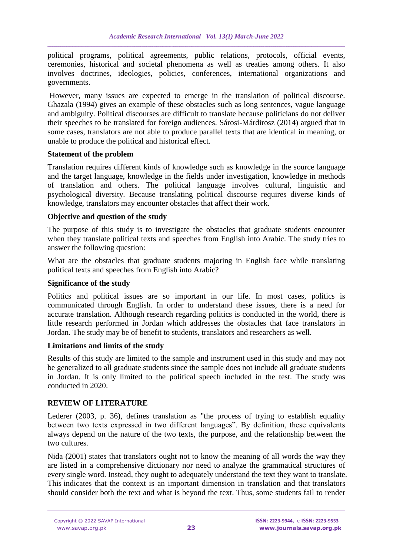political programs, political agreements, public relations, protocols, official events, ceremonies, historical and societal phenomena as well as treaties among others. It also involves doctrines, ideologies, policies, conferences, international organizations and governments.

However, many issues are expected to emerge in the translation of political discourse. Ghazala (1994) gives an example of these obstacles such as long sentences, vague language and ambiguity. Political discourses are difficult to translate because politicians do not deliver their speeches to be translated for foreign audiences. Sárosi-Márdirosz (2014) argued that in some cases, translators are not able to produce parallel texts that are identical in meaning, or unable to produce the political and historical effect.

## **Statement of the problem**

Translation requires different kinds of knowledge such as knowledge in the source language and the target language, knowledge in the fields under investigation, knowledge in methods of translation and others. The political language involves cultural, linguistic and psychological diversity. Because translating political discourse requires diverse kinds of knowledge, translators may encounter obstacles that affect their work.

#### **Objective and question of the study**

The purpose of this study is to investigate the obstacles that graduate students encounter when they translate political texts and speeches from English into Arabic. The study tries to answer the following question:

What are the obstacles that graduate students majoring in English face while translating political texts and speeches from English into Arabic?

#### **Significance of the study**

Politics and political issues are so important in our life. In most cases, politics is communicated through English. In order to understand these issues, there is a need for accurate translation. Although research regarding politics is conducted in the world, there is little research performed in Jordan which addresses the obstacles that face translators in Jordan. The study may be of benefit to students, translators and researchers as well.

#### **Limitations and limits of the study**

Results of this study are limited to the sample and instrument used in this study and may not be generalized to all graduate students since the sample does not include all graduate students in Jordan. It is only limited to the political speech included in the test. The study was conducted in 2020.

## **REVIEW OF LITERATURE**

Lederer (2003, p. 36), defines translation as "the process of trying to establish equality between two texts expressed in two different languages". By definition, these equivalents always depend on the nature of the two texts, the purpose, and the relationship between the two cultures.

Nida (2001) states that translators ought not to know the meaning of all words the way they are listed in a comprehensive dictionary nor need to analyze the grammatical structures of every single word. Instead, they ought to adequately understand the text they want to translate. This indicates that the context is an important dimension in translation and that translators should consider both the text and what is beyond the text. Thus, some students fail to render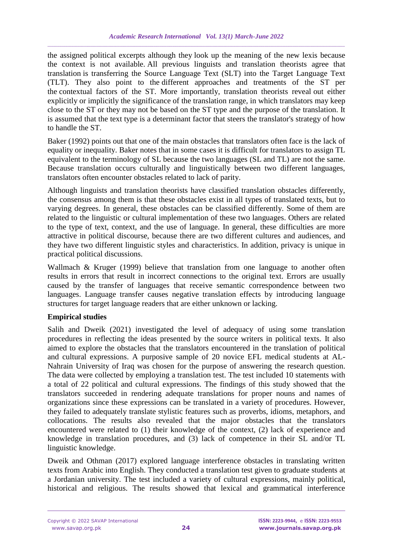the assigned political excerpts although they look up the meaning of the new lexis because the context is not available. All previous linguists and translation theorists agree that translation is transferring the Source Language Text (SLT) into the Target Language Text (TLT). They also point to the different approaches and treatments of the ST per the contextual factors of the ST. More importantly, translation theorists reveal out either explicitly or implicitly the significance of the translation range, in which translators may keep close to the ST or they may not be based on the ST type and the purpose of the translation. It is assumed that the text type is a determinant factor that steers the translator's strategy of how to handle the ST.

Baker (1992) points out that one of the main obstacles that translators often face is the lack of equality or inequality. Baker notes that in some cases it is difficult for translators to assign TL equivalent to the terminology of SL because the two languages (SL and TL) are not the same. Because translation occurs culturally and linguistically between two different languages, translators often encounter obstacles related to lack of parity.

Although linguists and translation theorists have classified translation obstacles differently, the consensus among them is that these obstacles exist in all types of translated texts, but to varying degrees. In general, these obstacles can be classified differently. Some of them are related to the linguistic or cultural implementation of these two languages. Others are related to the type of text, context, and the use of language. In general, these difficulties are more attractive in political discourse, because there are two different cultures and audiences, and they have two different linguistic styles and characteristics. In addition, privacy is unique in practical political discussions.

Wallmach & Kruger (1999) believe that translation from one language to another often results in errors that result in incorrect connections to the original text. Errors are usually caused by the transfer of languages that receive semantic correspondence between two languages. Language transfer causes negative translation effects by introducing language structures for target language readers that are either unknown or lacking.

## **Empirical studies**

Salih and Dweik (2021) investigated the level of adequacy of using some translation procedures in reflecting the ideas presented by the source writers in political texts. It also aimed to explore the obstacles that the translators encountered in the translation of political and cultural expressions. A purposive sample of 20 novice EFL medical students at AL-Nahrain University of Iraq was chosen for the purpose of answering the research question. The data were collected by employing a translation test. The test included 10 statements with a total of 22 political and cultural expressions. The findings of this study showed that the translators succeeded in rendering adequate translations for proper nouns and names of organizations since these expressions can be translated in a variety of procedures. However, they failed to adequately translate stylistic features such as proverbs, idioms, metaphors, and collocations. The results also revealed that the major obstacles that the translators encountered were related to (1) their knowledge of the context, (2) lack of experience and knowledge in translation procedures, and (3) lack of competence in their SL and/or TL linguistic knowledge.

Dweik and Othman (2017) explored language interference obstacles in translating written texts from Arabic into English. They conducted a translation test given to graduate students at a Jordanian university. The test included a variety of cultural expressions, mainly political, historical and religious. The results showed that lexical and grammatical interference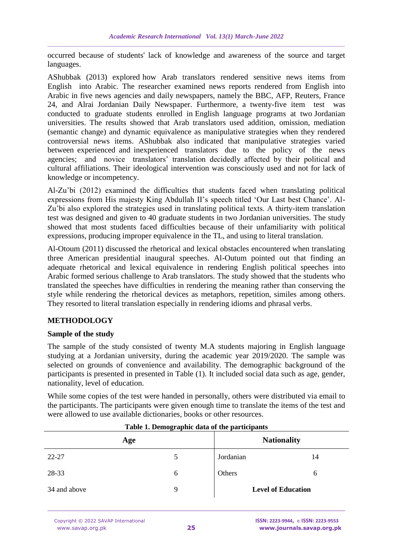occurred because of students' lack of knowledge and awareness of the source and target languages.

AShubbak (2013) explored how Arab translators rendered sensitive news items from English into Arabic. The researcher examined news reports rendered from English into Arabic in five news agencies and daily newspapers, namely the BBC, AFP, Reuters, France 24, and Alrai Jordanian Daily Newspaper. Furthermore, a twenty-five item test was conducted to graduate students enrolled in English language programs at two Jordanian universities. The results showed that Arab translators used addition, omission, mediation (semantic change) and dynamic equivalence as manipulative strategies when they rendered controversial news items. AShubbak also indicated that manipulative strategies varied between experienced and inexperienced translators due to the policy of the news agencies; and novice translators' translation decidedly affected by their political and cultural affiliations. Their ideological intervention was consciously used and not for lack of knowledge or incompetency.

Al-Zu'bi (2012) examined the difficulties that students faced when translating political expressions from His majesty King Abdullah II's speech titled 'Our Last best Chance'. Al-Zu'bi also explored the strategies used in translating political texts. A thirty-item translation test was designed and given to 40 graduate students in two Jordanian universities. The study showed that most students faced difficulties because of their unfamiliarity with political expressions, producing improper equivalence in the TL, and using to literal translation.

Al-Otoum (2011) discussed the rhetorical and lexical obstacles encountered when translating three American presidential inaugural speeches. Al-Outum pointed out that finding an adequate rhetorical and lexical equivalence in rendering English political speeches into Arabic formed serious challenge to Arab translators. The study showed that the students who translated the speeches have difficulties in rendering the meaning rather than conserving the style while rendering the rhetorical devices as metaphors, repetition, similes among others. They resorted to literal translation especially in rendering idioms and phrasal verbs.

## **METHODOLOGY**

## **Sample of the study**

The sample of the study consisted of twenty M.A students majoring in English language studying at a Jordanian university, during the academic year 2019/2020. The sample was selected on grounds of convenience and availability. The demographic background of the participants is presented in presented in Table (1). It included social data such as age, gender, nationality, level of education.

While some copies of the test were handed in personally, others were distributed via email to the participants. The participants were given enough time to translate the items of the test and were allowed to use available dictionaries, books or other resources.

| Age          |   | <b>Nationality</b>        |    |
|--------------|---|---------------------------|----|
| 22-27        |   | Jordanian                 | 14 |
| 28-33        | b | Others                    | O  |
| 34 and above | 9 | <b>Level of Education</b> |    |

|  | Table 1. Demographic data of the participants |
|--|-----------------------------------------------|
|  |                                               |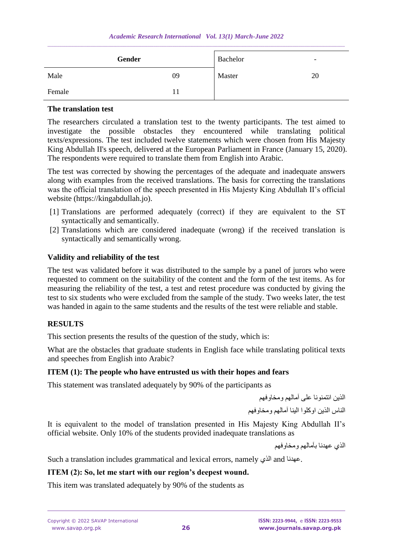| Gender |    | Bachelor | $\overline{\phantom{0}}$ |
|--------|----|----------|--------------------------|
| Male   | 09 | Master   | 20                       |
| Female | 11 |          |                          |

#### **The translation test**

The researchers circulated a translation test to the twenty participants. The test aimed to investigate the possible obstacles they encountered while translating political texts/expressions. The test included twelve statements which were chosen from His Majesty King Abdullah II's speech, delivered at the European Parliament in France (January 15, 2020). The respondents were required to translate them from English into Arabic.

The test was corrected by showing the percentages of the adequate and inadequate answers along with examples from the received translations. The basis for correcting the translations was the official translation of the speech presented in His Majesty King Abdullah II's official website (https://kingabdullah.jo).

- [1] Translations are performed adequately (correct) if they are equivalent to the ST syntactically and semantically.
- [2] Translations which are considered inadequate (wrong) if the received translation is syntactically and semantically wrong.

## **Validity and reliability of the test**

The test was validated before it was distributed to the sample by a panel of jurors who were requested to comment on the suitability of the content and the form of the test items. As for measuring the reliability of the test, a test and retest procedure was conducted by giving the test to six students who were excluded from the sample of the study. Two weeks later, the test was handed in again to the same students and the results of the test were reliable and stable.

## **RESULTS**

This section presents the results of the question of the study, which is:

What are the obstacles that graduate students in English face while translating political texts and speeches from English into Arabic?

## **ITEM (1): The people who have entrusted us with their hopes and fears**

This statement was translated adequately by 90% of the participants as

الذين ائتمنونا على آمالهم ومخاوفهم

الناس الذين اوكلوا الينا آمالهم ومخاوفهم

It is equivalent to the model of translation presented in His Majesty King Abdullah II's official website. Only 10% of the students provided inadequate translations as

الذي عهدنا بآمالهم ومخاوفهم

Such a translation includes grammatical and lexical errors, namely الذي Such a translation includes grammatical and lexical errors, namely

## **ITEM (2): So, let me start with our region's deepest wound.**

This item was translated adequately by 90% of the students as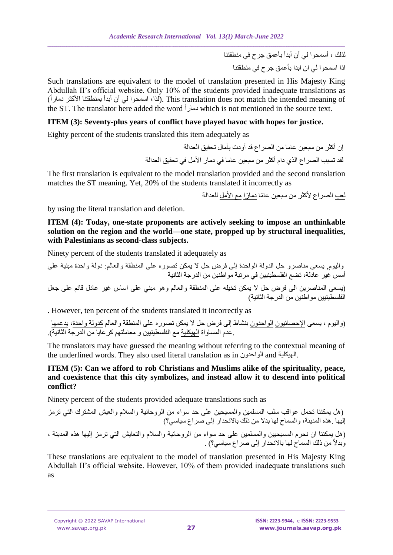لذلك ، أسمحوا لي أن أبدأ بأعمق جرح في منطقتنا اذا اسمحوا لي ان ابدا بأعمق جرح في منطقتنا

Such translations are equivalent to the model of translation presented in His Majesty King Abdullah II's official website. Only 10% of the students provided inadequate translations as لذا، اسمحوا لي أن أبدأ بمنطقتنا الأكثر دماراً). This translation does not match the intended meaning of the ST. The translator here added the word دمارا which is not mentioned in the source text.

## **ITEM (3): Seventy-plus years of conflict have played havoc with hopes for justice.**

Eighty percent of the students translated this item adequately as

إن أكثر من سبعين عاما من الصراع قد أودت بآمال تحقيق العدالة لقد تسبب الصراع الذي دام أكثر من سبعين عاما في دمار األمل في تحقيق العدالة

The first translation is equivalent to the model translation provided and the second translation matches the ST meaning. Yet, 20% of the students translated it incorrectly as

لعب الصراع لأكثر من سبعين عامًا دمارًا مع الأمل للعدالة

by using the literal translation and deletion.

**ITEM (4): Today, one-state proponents are actively seeking to impose an unthinkable solution on the region and the world—one state, propped up by structural inequalities, with Palestinians as second-class subjects.**

Ninety percent of the students translated it adequately as

واليوم, يسعى مناصرو حل الدولة الواحدة إلى فرض حل ال يمكن تصوره على المنطقة والعالم: دولة واحدة مبنية على أسس غير عادلة، تضع الفلسطينيين في مرتبة مواطنين من الدرجة الثانية )يسعى المناصرين الى فرض حل ال يمكن تخيله على المنطقة والعالم وهو مبني على اساس غير عادل قائم على جعل الفلسطينيين مواطنين من الدرجة الثانية(

. However, ten percent of the students translated it incorrectly as

)واليوم ، يسعى اإلحصائيون الواحدون بنشاط إلى فرض حل ال يمكن تصوره على المنطقة والعالم كدولة واحدة، يدعمها .عدم المساواة الهيكلية مع الفلسطينيين و معاملتهم كرعايا من الدرجة الثانية).

The translators may have guessed the meaning without referring to the contextual meaning of the underlined words. They also used literal translation as in الواحدون and الهيكلية.

## **ITEM (5): Can we afford to rob Christians and Muslims alike of the spirituality, peace, and coexistence that this city symbolizes, and instead allow it to descend into political conflict?**

Ninety percent of the students provided adequate translations such as

)هل يمكننا تحمل عواقب سلب المسلمين والمسيحين على حد سواء من الروحانية والسالم والعيش المشترك التي ترمز إليها .هذه المدينة، والسماح لها بدال من ذلك باالنحدار إلى صراع سياسي؟( )هل يمكننا ان نحرم المسيحيين والمسلمين على حد سواء من الروحانية والسالم والتعايش التي ترمز إليها هذه المدينة ، وبدال من ذلك السماح لها باالنحدار إلى صراع سياسي؟( .

These translations are equivalent to the model of translation presented in His Majesty King Abdullah II's official website. However, 10% of them provided inadequate translations such as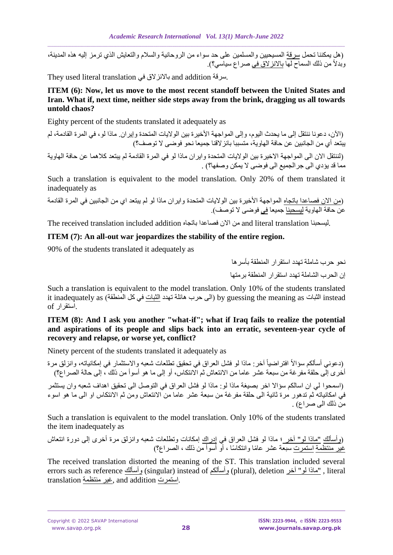)هل يمكننا تحمل سرقة المسيحيين والمسلمين على حد سواء من الروحانية والسالم والتعايش الذي ترمز إليه هذه المدينة، وبدلاً من ذلك السماح لها <u>بالانز لاق في</u> صراع سياسي؟)<sub>.</sub>

They used literal translation بالانزلاق في They used literal translation

## **ITEM (6): Now, let us move to the most recent standoff between the United States and Iran. What if, next time, neither side steps away from the brink, dragging us all towards untold chaos?**

Eighty percent of the students translated it adequately as

)اآلن، دعونا ننتقل إلى ما يحدث اليوم، وإلى المواجهة األخيرة بين الواليات المتحدة وإيران. ماذا لو، في المرة القادمة، لم يبتعد أي من الجانبين عن حافة الهاوية، متسببا بانزالقنا جميعا نحو فوضى ال توصف؟(

(لننتقل الان الى المواجهة الاخيرة بين الولايات المتحدة وايران ماذا لو في المرة القادمة لم يبتعد كلاهما عن حافة الهاوية مما قد يؤدي الى جرالجميع الى فوضى ال يمكن وصفها؟( .

Such a translation is equivalent to the model translation. Only 20% of them translated it inadequately as

(من الان فصاعدا باتجاه المواجهة الأخيرة بين الولايات المتحدة وايران ماذا لو لم يبتعد اي من الجانبين في المرة القادمة عن حافة الهاوية ليسحبنا جميعا في فوضى لا توصف).

The received translation included addition باتجاه فصاعدا االن من and literal translation ليسحبنا.

## **ITEM (7): An all-out war jeopardizes the stability of the entire region.**

90% of the students translated it adequately as

نحو حرب شاملة تهدد استقرار المنطقة بأسرها إن الحرب الشاملة تهدد استقرار المنطقة برمتها

Such a translation is equivalent to the model translation. Only 10% of the students translated it inadequately as (الى حرب هائلة تهدد الثبات في كل المنطقة) it inadequately as (الى حرب هائلة تهدد الثبات في .استقرار of

## **ITEM (8): And I ask you another "what-if"; what if Iraq fails to realize the potential and aspirations of its people and slips back into an erratic, seventeen-year cycle of recovery and relapse, or worse yet, conflict?**

Ninety percent of the students translated it adequately as

آخر: ماذا لو فشل العراق في تحقيق تطلعات شعبه واالستثمار في إمكانياته، وانزلق مرة افتراضيا )دعوني أسألكم سؤاال أخرى إلى حلقة مفرغة من سبعة عشر عاما من االنتعاش ثم االنتكاس، أو إلى ما هو أسوأ من ذلك ، إلى حالة الصراع؟(

)اسمحوا لي ان اسالكم سؤاال اخر بصيغة ماذا لو: ماذا لو فشل العراق في التوصل الى تحقيق اهداف شعبه وان يستثمر في امكانياته ثم تدهور مرة ثانية الى حلقة مفرغة من سبعة عشر عاما من االنتعاش ومن ثم االنتكاس او الى ما هو اسوء من ذلك الى صر (ع) .

Such a translation is equivalent to the model translation. Only 10% of the students translated the item inadequately as

)وأسألك "ماذا لو" آخر ؛ ماذا لو فشل العراق في إدراك إمكانات وتطلعات شعبه وانزلق مرة أخرى إلى دورة انتعاش غير منتظمة استمرت سبعة عشر عا ما وانتكا سا ، أو أسوأ من ذلك ، الصراع؟(

The received translation distorted the meaning of the ST. This translation included several errors such as reference وأسألكم) (singular) instead of وأسألكم) (plural), deletion آخر merors such as reference .استمرت addition and ,غير منتظمة translation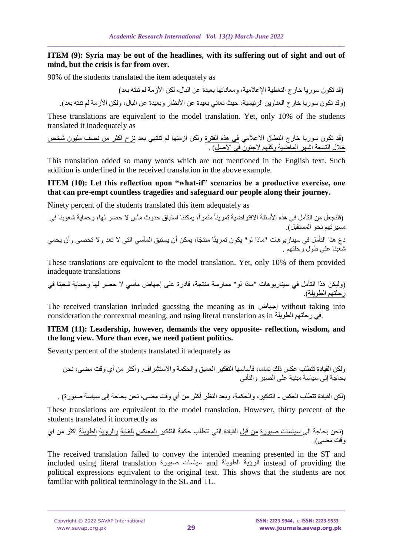## **ITEM** (9): Syria may be out of the headlines, with its suffering out of sight and out of **mind, but the crisis is far from over.**

90% of the students translated the item adequately as

 (قد تكون سوريا خارج التغطية اإلعالمية، ومعاناتها بعيدة عن البال، لكن األزمة لم تنته بعد) )وقد تكون سوريا خارج العناوين الرئيسية، حيث تعاني بعيدة عن األنظار وبعيدة عن البال، ولكن األزمة لم تنته بعد(.

These translations are equivalent to the model translation. Yet, only 10% of the students translated it inadequately as

(قد تكون سوريا خارج النطاق الاعلامي <u>في هذه الفترة</u> ولكن ازمتها لم تنتهي بعد <u>نزح اكثر من نصف مليون شخص</u> خلال التسعة اشهر الماضية وكلهم لاجئون في الاصل) .

This translation added so many words which are not mentioned in the English text. Such addition is underlined in the received translation in the above example.

## **ITEM (10): Let this reflection upon "what-if" scenarios be a productive exercise, one that can pre-empt countless tragedies and safeguard our people along their journey.**

Ninety percent of the students translated this item adequately as

)فلنجعل من التأمل في هذه األسئلة االفتراضية تمرينا مثمرا ، يمكننا استباق حدوث مآس ال حصر لها، وحماية شعوبنا في مسير تهم نحو المستقبل). دع هذا التأمل في سيناريوهات "ماذا لو" يكون تمرينًا منتجًا، يمكن أن يستبق المآسي التي لا تعد ولا تحصى وأن يحمي شعبنا على طول رحلتهم .

These translations are equivalent to the model translation. Yet, only 10% of them provided inadequate translations

)وليكن هذا التأمل في سيناريوهات "ماذا لو" ممارسة منتجة، قادرة على إجهاض مآسي ال حصر لها وحماية شعبنا في رحلتهم الطويلة(.

The received translation included guessing the meaning as in إجهاض without taking into consideration the contextual meaning, and using literal translation as in الطويلة رحلتهم في.

## **ITEM (11): Leadership, however, demands the very opposite- reflection, wisdom, and the long view. More than ever, we need patient politics.**

Seventy percent of the students translated it adequately as

ولكن القيادة تتطلب عكس ذلك تماما، فأساسها التفكير العميق والحكمة واالستشراف. وأكثر من أي وقت مضى، نحن بحاجة إلى سياسة مبنية على الصبر والتأني

)لكن القيادة تتطلب العكس - التفكير، والحكمة، وبعد النظر أكثر من أي وقت مضى، نحن بحاجة إلى سياسة صبورة( .

These translations are equivalent to the model translation. However, thirty percent of the students translated it incorrectly as

)نحن بحاجة الى سياسات صبورة من قبل القيادة التي تتطلب حكمة التفكير المعاكس للغاية والرؤية الطويلة اكثر من اي وقت مضى(.

The received translation failed to convey the intended meaning presented in the ST and included using literal translation صبورة سياسات and الطويلة الرؤية instead of providing the political expressions equivalent to the original text. This shows that the students are not familiar with political terminology in the SL and TL.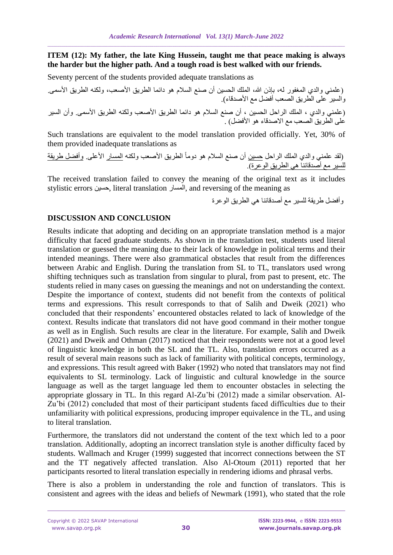**ITEM (12): My father, the late King Hussein, taught me that peace making is always the harder but the higher path. And a tough road is best walked with our friends.**

Seventy percent of the students provided adequate translations as

(علمني والدي المغفور له، بإذن الله، الملك الحسين أن صنع السلام هو دائما الطريق الأصعب، ولكنه الطريق الأسمى<sub>.</sub> والسير على الطريق الصعب أفضل مع األصدقاء). )علمني والدي ، الملك الراحل الحسين ، أن صنع السالم هو دائما الطريق األصعب ولكنه الطريق األسمى. وأن السير على الطريق الصعب مع الاصدقاء هو الأفضل) .

Such translations are equivalent to the model translation provided officially. Yet, 30% of them provided inadequate translations as

(لقد علمني والدي الملك الراحل <u>حسين</u> أن صنع السلام هو دوماً الطريق الأصعب ولكنه <u>المسار</u> الأعل<u>ى<sub>.</sub> وأفضل طريق</u>ة <u>للسير مع أصدقائنا هي الطريق الوعرة)</u>.

The received translation failed to convey the meaning of the original text as it includes stylistic errors حسين, literal translation المسار, and reversing of the meaning as

وأفضل طريقة للسير مع أصدقائنا هي الطريق الوعرة

# **DISCUSSION AND CONCLUSION**

Results indicate that adopting and deciding on an appropriate translation method is a major difficulty that faced graduate students. As shown in the translation test, students used literal translation or guessed the meaning due to their lack of knowledge in political terms and their intended meanings. There were also grammatical obstacles that result from the differences between Arabic and English. During the translation from SL to TL, translators used wrong shifting techniques such as translation from singular to plural, from past to present, etc. The students relied in many cases on guessing the meanings and not on understanding the context. Despite the importance of context, students did not benefit from the contexts of political terms and expressions. This result corresponds to that of Salih and Dweik (2021) who concluded that their respondents' encountered obstacles related to lack of knowledge of the context. Results indicate that translators did not have good command in their mother tongue as well as in English. Such results are clear in the literature. For example, Salih and Dweik (2021) and Dweik and Othman (2017) noticed that their respondents were not at a good level of linguistic knowledge in both the SL and the TL. Also, translation errors occurred as a result of several main reasons such as lack of familiarity with political concepts, terminology, and expressions. This result agreed with Baker (1992) who noted that translators may not find equivalents to SL terminology. Lack of linguistic and cultural knowledge in the source language as well as the target language led them to encounter obstacles in selecting the appropriate glossary in TL. In this regard Al-Zu'bi (2012) made a similar observation. Al-Zu'bi (2012) concluded that most of their participant students faced difficulties due to their unfamiliarity with political expressions, producing improper equivalence in the TL, and using to literal translation.

Furthermore, the translators did not understand the content of the text which led to a poor translation. Additionally, adopting an incorrect translation style is another difficulty faced by students. Wallmach and Kruger (1999) suggested that incorrect connections between the ST and the TT negatively affected translation. Also Al-Otoum (2011) reported that her participants resorted to literal translation especially in rendering idioms and phrasal verbs.

There is also a problem in understanding the role and function of translators. This is consistent and agrees with the ideas and beliefs of Newmark (1991), who stated that the role